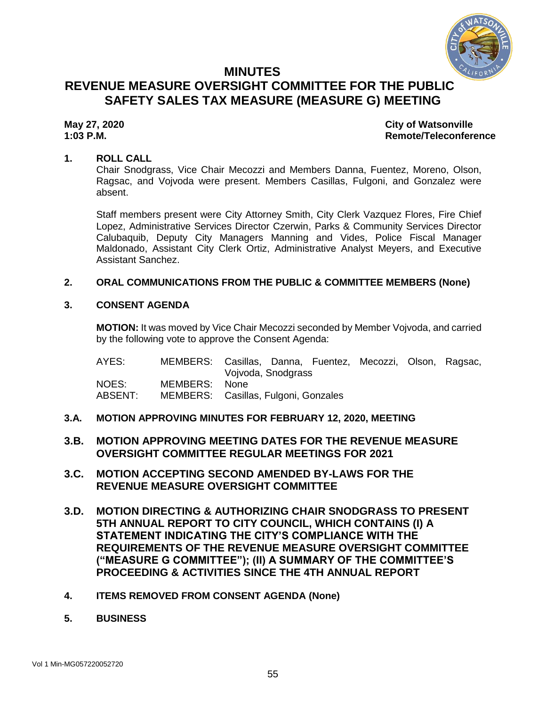

# **MINUTES REVENUE MEASURE OVERSIGHT COMMITTEE FOR THE PUBLIC SAFETY SALES TAX MEASURE (MEASURE G) MEETING**

# **May 27, 2020 City of Watsonville 1:03 P.M. Remote/Teleconference**

### **1. ROLL CALL**

Chair Snodgrass, Vice Chair Mecozzi and Members Danna, Fuentez, Moreno, Olson, Ragsac, and Vojvoda were present. Members Casillas, Fulgoni, and Gonzalez were absent.

Staff members present were City Attorney Smith, City Clerk Vazquez Flores, Fire Chief Lopez, Administrative Services Director Czerwin, Parks & Community Services Director Calubaquib, Deputy City Managers Manning and Vides, Police Fiscal Manager Maldonado, Assistant City Clerk Ortiz, Administrative Analyst Meyers, and Executive Assistant Sanchez.

# **2. ORAL COMMUNICATIONS FROM THE PUBLIC & COMMITTEE MEMBERS (None)**

#### **3. CONSENT AGENDA**

**MOTION:** It was moved by Vice Chair Mecozzi seconded by Member Vojvoda, and carried by the following vote to approve the Consent Agenda:

| AYES:   | MEMBERS: Casillas, Danna, Fuentez, Mecozzi, Olson, Ragsac, |                    |  |  |  |
|---------|------------------------------------------------------------|--------------------|--|--|--|
|         |                                                            | Vojvoda, Snodgrass |  |  |  |
| NOES:   | MEMBERS:                                                   | None.              |  |  |  |
| ABSENT: | MEMBERS: Casillas, Fulgoni, Gonzales                       |                    |  |  |  |

- **3.A. MOTION APPROVING MINUTES FOR FEBRUARY 12, 2020, MEETING**
- **3.B. MOTION APPROVING MEETING DATES FOR THE REVENUE MEASURE OVERSIGHT COMMITTEE REGULAR MEETINGS FOR 2021**
- **3.C. MOTION ACCEPTING SECOND AMENDED BY-LAWS FOR THE REVENUE MEASURE OVERSIGHT COMMITTEE**
- **3.D. MOTION DIRECTING & AUTHORIZING CHAIR SNODGRASS TO PRESENT 5TH ANNUAL REPORT TO CITY COUNCIL, WHICH CONTAINS (I) A STATEMENT INDICATING THE CITY'S COMPLIANCE WITH THE REQUIREMENTS OF THE REVENUE MEASURE OVERSIGHT COMMITTEE ("MEASURE G COMMITTEE"); (II) A SUMMARY OF THE COMMITTEE'S PROCEEDING & ACTIVITIES SINCE THE 4TH ANNUAL REPORT**
- **4. ITEMS REMOVED FROM CONSENT AGENDA (None)**
- **5. BUSINESS**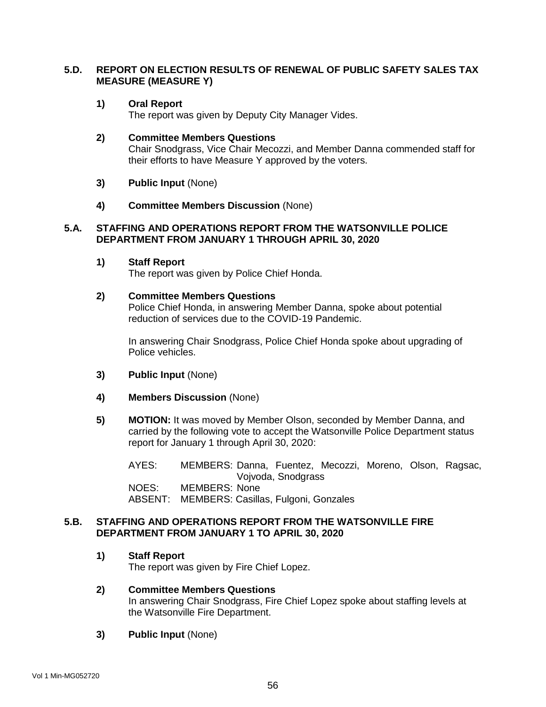# **5.D. REPORT ON ELECTION RESULTS OF RENEWAL OF PUBLIC SAFETY SALES TAX MEASURE (MEASURE Y)**

#### **1) Oral Report**

The report was given by Deputy City Manager Vides.

#### **2) Committee Members Questions**

Chair Snodgrass, Vice Chair Mecozzi, and Member Danna commended staff for their efforts to have Measure Y approved by the voters.

- **3) Public Input** (None)
- **4) Committee Members Discussion** (None)

#### **5.A. STAFFING AND OPERATIONS REPORT FROM THE WATSONVILLE POLICE DEPARTMENT FROM JANUARY 1 THROUGH APRIL 30, 2020**

**1) Staff Report**

The report was given by Police Chief Honda.

#### **2) Committee Members Questions**

Police Chief Honda, in answering Member Danna, spoke about potential reduction of services due to the COVID-19 Pandemic.

In answering Chair Snodgrass, Police Chief Honda spoke about upgrading of Police vehicles.

- **3) Public Input** (None)
- **4) Members Discussion** (None)
- **5) MOTION:** It was moved by Member Olson, seconded by Member Danna, and carried by the following vote to accept the Watsonville Police Department status report for January 1 through April 30, 2020:

AYES: MEMBERS: Danna, Fuentez, Mecozzi, Moreno, Olson, Ragsac, Vojvoda, Snodgrass NOES: MEMBERS: None ABSENT: MEMBERS: Casillas, Fulgoni, Gonzales

#### **5.B. STAFFING AND OPERATIONS REPORT FROM THE WATSONVILLE FIRE DEPARTMENT FROM JANUARY 1 TO APRIL 30, 2020**

**1) Staff Report**

The report was given by Fire Chief Lopez.

- **2) Committee Members Questions** In answering Chair Snodgrass, Fire Chief Lopez spoke about staffing levels at the Watsonville Fire Department.
- **3) Public Input** (None)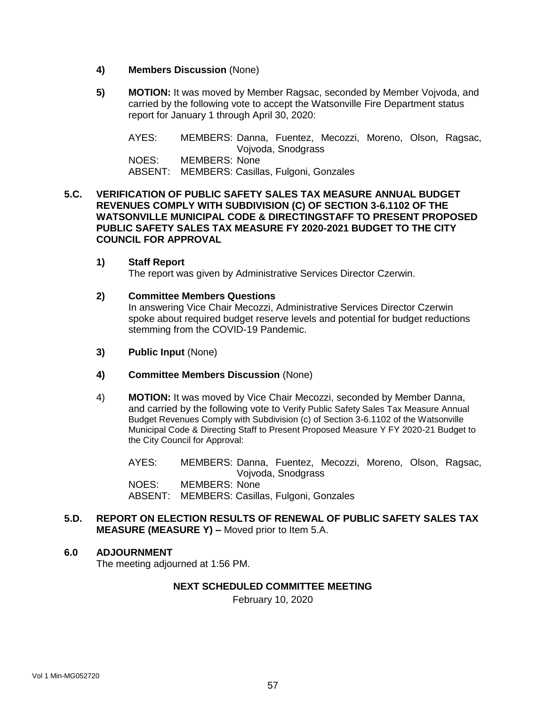- **4) Members Discussion** (None)
- **5) MOTION:** It was moved by Member Ragsac, seconded by Member Vojvoda, and carried by the following vote to accept the Watsonville Fire Department status report for January 1 through April 30, 2020:

AYES: MEMBERS: Danna, Fuentez, Mecozzi, Moreno, Olson, Ragsac, Vojvoda, Snodgrass NOES: MEMBERS: None ABSENT: MEMBERS: Casillas, Fulgoni, Gonzales

### **5.C. VERIFICATION OF PUBLIC SAFETY SALES TAX MEASURE ANNUAL BUDGET REVENUES COMPLY WITH SUBDIVISION (C) OF SECTION 3-6.1102 OF THE WATSONVILLE MUNICIPAL CODE & DIRECTINGSTAFF TO PRESENT PROPOSED PUBLIC SAFETY SALES TAX MEASURE FY 2020-2021 BUDGET TO THE CITY COUNCIL FOR APPROVAL**

**1) Staff Report** The report was given by Administrative Services Director Czerwin.

#### **2) Committee Members Questions**

In answering Vice Chair Mecozzi, Administrative Services Director Czerwin spoke about required budget reserve levels and potential for budget reductions stemming from the COVID-19 Pandemic.

- **3) Public Input** (None)
- **4) Committee Members Discussion** (None)
- 4) **MOTION:** It was moved by Vice Chair Mecozzi, seconded by Member Danna, and carried by the following vote to Verify Public Safety Sales Tax Measure Annual Budget Revenues Comply with Subdivision (c) of Section 3-6.1102 of the Watsonville Municipal Code & Directing Staff to Present Proposed Measure Y FY 2020-21 Budget to the City Council for Approval:

AYES: MEMBERS: Danna, Fuentez, Mecozzi, Moreno, Olson, Ragsac, Vojvoda, Snodgrass NOES: MEMBERS: None ABSENT: MEMBERS: Casillas, Fulgoni, Gonzales

### **5.D. REPORT ON ELECTION RESULTS OF RENEWAL OF PUBLIC SAFETY SALES TAX MEASURE (MEASURE Y) –** Moved prior to Item 5.A.

#### **6.0 ADJOURNMENT**

The meeting adjourned at 1:56 PM.

#### **NEXT SCHEDULED COMMITTEE MEETING**

February 10, 2020